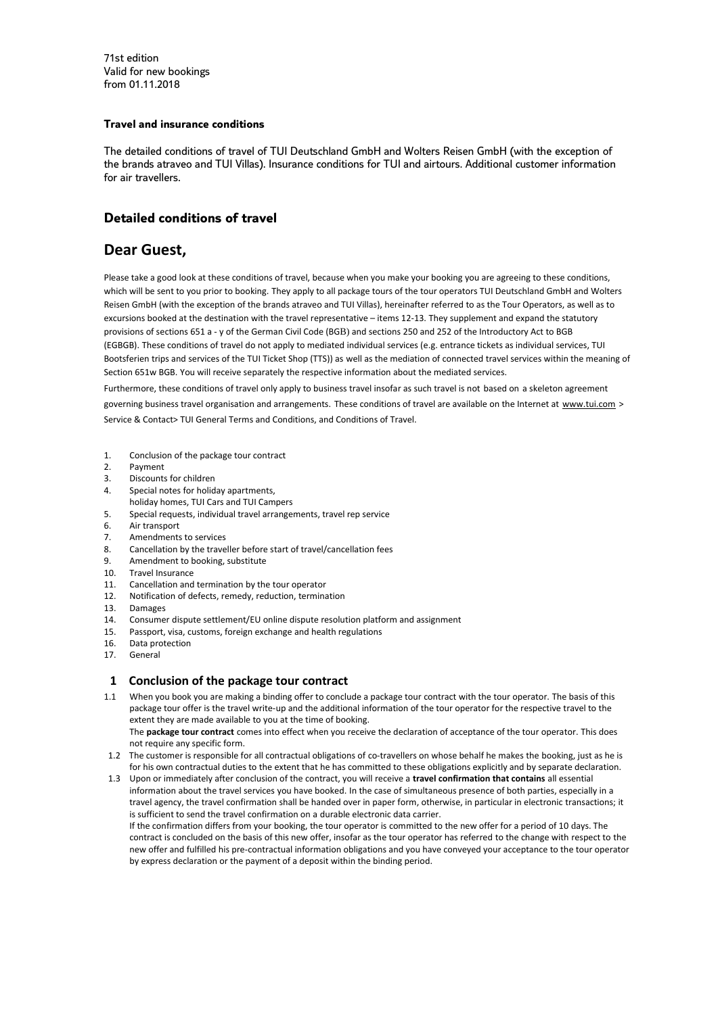71st edition Valid for new bookings from 01.11.2018

# **Travel and insurance conditions**

The detailed conditions of travel of TUI Deutschland GmbH and Wolters Reisen GmbH (with the exception of the brands atraveo and TUI Villas). Insurance conditions for TUI and airtours. Additional customer information for air travellers.

# **Detailed conditions of travel**

# **Dear Guest,**

Please take a good look at these conditions of travel, because when you make your booking you are agreeing to these conditions, which will be sent to you prior to booking. They apply to all package tours of the tour operators TUI Deutschland GmbH and Wolters Reisen GmbH (with the exception of the brands atraveo and TUI Villas), hereinafter referred to as the Tour Operators, as well as to excursions booked at the destination with the travel representative – items 12-13. They supplement and expand the statutory provisions of sections 651 a - y of the German Civil Code (BGB) and sections 250 and 252 of the Introductory Act to BGB (EGBGB). These conditions of travel do not apply to mediated individual services (e.g. entrance tickets as individual services, TUI Bootsferien trips and services of the TUI Ticket Shop (TTS)) as well as the mediation of connected travel services within the meaning of Section 651w BGB. You will receive separately the respective information about the mediated services.

Furthermore, these conditions of travel only apply to business travel insofar as such travel is not based on a skeleton agreement governing business travel organisation and arrangements. These conditions of travel are available on the Internet at [www.tui.com](https://translate.google.com/translate?hl=en&prev=_t&sl=de&tl=en&u=http://www.tui.com) > Service & Contact> TUI General Terms and Conditions, and Conditions of Travel.

- 1. Conclusion of the package tour contract
- 2. Payment
- 3. Discounts for children
- 4. Special notes for holiday apartments,
- holiday homes, TUI Cars and TUI Campers
- 5. Special requests, individual travel arrangements, travel rep service
- 6. Air transport
- 7. Amendments to services
- 8. Cancellation by the traveller before start of travel/cancellation fees
- 9. Amendment to booking, substitute
- 10. Travel Insurance
- 11. Cancellation and termination by the tour operator
- 12. Notification of defects, remedy, reduction, termination
- 13. Damages
- 14. Consumer dispute settlement/EU online dispute resolution platform and assignment
- 15. Passport, visa, customs, foreign exchange and health regulations
- 16. Data protection
- 17. General

# **1 Conclusion of the package tour contract**

1.1 When you book you are making a binding offer to conclude a package tour contract with the tour operator. The basis of this package tour offer is the travel write-up and the additional information of the tour operator for the respective travel to the extent they are made available to you at the time of booking.

 The **package tour contract** comes into effect when you receive the declaration of acceptance of the tour operator. This does not require any specific form.

- 1.2 The customer is responsible for all contractual obligations of co-travellers on whose behalf he makes the booking, just as he is for his own contractual duties to the extent that he has committed to these obligations explicitly and by separate declaration.
- 1.3 Upon or immediately after conclusion of the contract, you will receive a **travel confirmation that contains** all essential information about the travel services you have booked. In the case of simultaneous presence of both parties, especially in a travel agency, the travel confirmation shall be handed over in paper form, otherwise, in particular in electronic transactions; it is sufficient to send the travel confirmation on a durable electronic data carrier. If the confirmation differs from your booking, the tour operator is committed to the new offer for a period of 10 days. The contract is concluded on the basis of this new offer, insofar as the tour operator has referred to the change with respect to the new offer and fulfilled his pre-contractual information obligations and you have conveyed your acceptance to the tour operator by express declaration or the payment of a deposit within the binding period.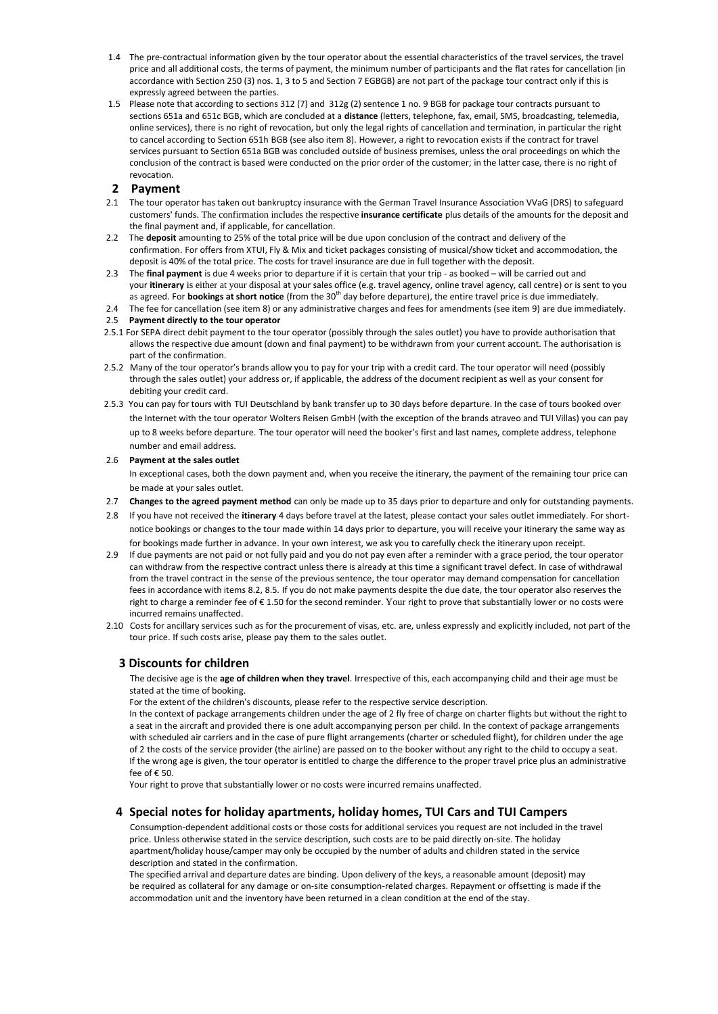- 1.4 The pre-contractual information given by the tour operator about the essential characteristics of the travel services, the travel price and all additional costs, the terms of payment, the minimum number of participants and the flat rates for cancellation (in accordance with Section 250 (3) nos. 1, 3 to 5 and Section 7 EGBGB) are not part of the package tour contract only if this is expressly agreed between the parties.
- 1.5 Please note that according to sections 312 (7) and 312g (2) sentence 1 no. 9 BGB for package tour contracts pursuant to sections 651a and 651c BGB, which are concluded at a **distance** (letters, telephone, fax, email, SMS, broadcasting, telemedia, online services), there is no right of revocation, but only the legal rights of cancellation and termination, in particular the right to cancel according to Section 651h BGB (see also item 8). However, a right to revocation exists if the contract for travel services pursuant to Section 651a BGB was concluded outside of business premises, unless the oral proceedings on which the conclusion of the contract is based were conducted on the prior order of the customer; in the latter case, there is no right of revocation.

## **2 Payment**

- 2.1 The tour operator has taken out bankruptcy insurance with the German Travel Insurance Association VVaG (DRS) to safeguard customers' funds. The confirmation includes the respective **insurance certificate** plus details of the amounts for the deposit and the final payment and, if applicable, for cancellation.
- 2.2 The **deposit** amounting to 25% of the total price will be due upon conclusion of the contract and delivery of the confirmation. For offers from XTUI, Fly & Mix and ticket packages consisting of musical/show ticket and accommodation, the deposit is 40% of the total price. The costs for travel insurance are due in full together with the deposit.
- 2.3 The **final payment** is due 4 weeks prior to departure if it is certain that your trip as booked will be carried out and your **itinerary** is either at your disposal at your sales office (e.g. travel agency, online travel agency, call centre) or is sent to you as agreed. For **bookings at short notice** (from the 30<sup>th</sup> day before departure), the entire travel price is due immediately.
- 2.4 The fee for cancellation (see item 8) or any administrative charges and fees for amendments (see item 9) are due immediately. 2.5 **Payment directly to the tour operator**
- 2.5.1 For SEPA direct debit payment to the tour operator (possibly through the sales outlet) you have to provide authorisation that allows the respective due amount (down and final payment) to be withdrawn from your current account. The authorisation is part of the confirmation.
- 2.5.2 Many of the tour operator's brands allow you to pay for your trip with a credit card. The tour operator will need (possibly through the sales outlet) your address or, if applicable, the address of the document recipient as well as your consent for debiting your credit card.
- 2.5.3 You can pay for tours with TUI Deutschland by bank transfer up to 30 days before departure. In the case of tours booked over the Internet with the tour operator Wolters Reisen GmbH (with the exception of the brands atraveo and TUI Villas) you can pay up to 8 weeks before departure. The tour operator will need the booker's first and last names, complete address, telephone number and email address.

### 2.6 **Payment at the sales outlet**

In exceptional cases, both the down payment and, when you receive the itinerary, the payment of the remaining tour price can be made at your sales outlet.

- 2.7 **Changes to the agreed payment method** can only be made up to 35 days prior to departure and only for outstanding payments.
- 2.8 If you have not received the **itinerary** 4 days before travel at the latest, please contact your sales outlet immediately. For shortnotice bookings or changes to the tour made within 14 days prior to departure, you will receive your itinerary the same way as for bookings made further in advance. In your own interest, we ask you to carefully check the itinerary upon receipt.
- 2.9 If due payments are not paid or not fully paid and you do not pay even after a reminder with a grace period, the tour operator can withdraw from the respective contract unless there is already at this time a significant travel defect. In case of withdrawal from the travel contract in the sense of the previous sentence, the tour operator may demand compensation for cancellation fees in accordance with items 8.2, 8.5. If you do not make payments despite the due date, the tour operator also reserves the right to charge a reminder fee of € 1.50 for the second reminder. Your right to prove that substantially lower or no costs were incurred remains unaffected.
- 2.10 Costs for ancillary services such as for the procurement of visas, etc. are, unless expressly and explicitly included, not part of the tour price. If such costs arise, please pay them to the sales outlet.

# **3 Discounts for children**

The decisive age is the **age of children when they travel**. Irrespective of this, each accompanying child and their age must be stated at the time of booking.

For the extent of the children's discounts, please refer to the respective service description.

In the context of package arrangements children under the age of 2 fly free of charge on charter flights but without the right to a seat in the aircraft and provided there is one adult accompanying person per child. In the context of package arrangements with scheduled air carriers and in the case of pure flight arrangements (charter or scheduled flight), for children under the age of 2 the costs of the service provider (the airline) are passed on to the booker without any right to the child to occupy a seat. If the wrong age is given, the tour operator is entitled to charge the difference to the proper travel price plus an administrative fee of € 50.

Your right to prove that substantially lower or no costs were incurred remains unaffected.

# **4 Special notes for holiday apartments, holiday homes, TUI Cars and TUI Campers**

Consumption-dependent additional costs or those costs for additional services you request are not included in the travel price. Unless otherwise stated in the service description, such costs are to be paid directly on-site. The holiday apartment/holiday house/camper may only be occupied by the number of adults and children stated in the service description and stated in the confirmation.

The specified arrival and departure dates are binding. Upon delivery of the keys, a reasonable amount (deposit) may be required as collateral for any damage or on-site consumption-related charges. Repayment or offsetting is made if the accommodation unit and the inventory have been returned in a clean condition at the end of the stay.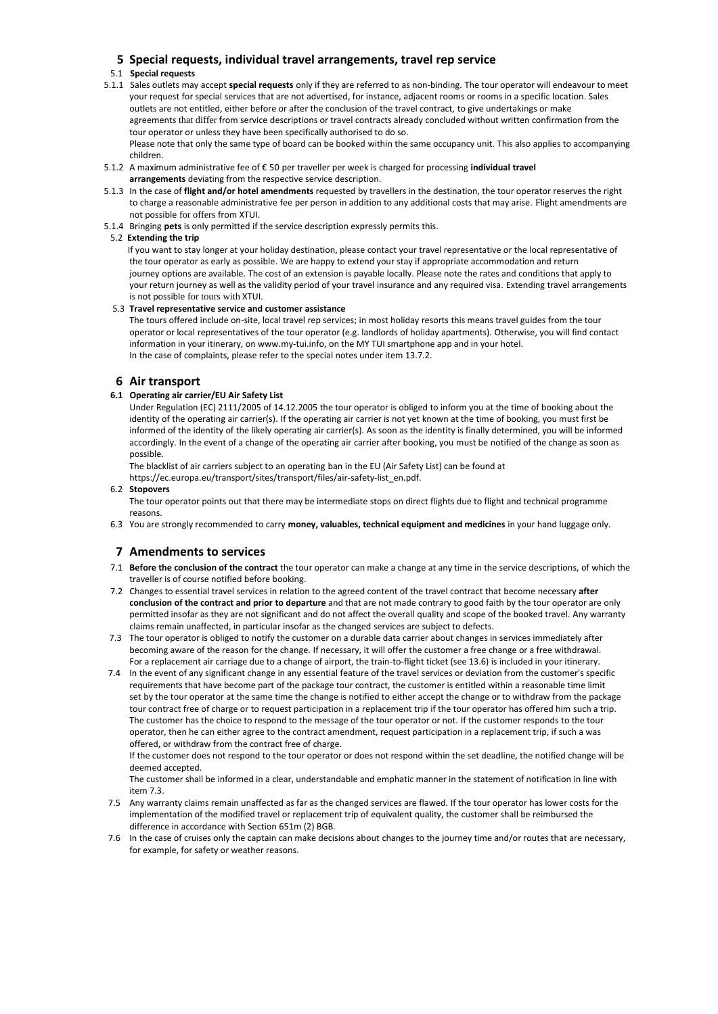# **5 Special requests, individual travel arrangements, travel rep service**

## 5.1 **Special requests**

- 5.1.1 Sales outlets may accept **special requests** only if they are referred to as non-binding. The tour operator will endeavour to meet your request for special services that are not advertised, for instance, adjacent rooms or rooms in a specific location. Sales outlets are not entitled, either before or after the conclusion of the travel contract, to give undertakings or make agreements that differ from service descriptions or travel contracts already concluded without written confirmation from the tour operator or unless they have been specifically authorised to do so. Please note that only the same type of board can be booked within the same occupancy unit. This also applies to accompanying children.
- 5.1.2 A maximum administrative fee of € 50 per traveller per week is charged for processing **individual travel arrangements** deviating from the respective service description.
- 5.1.3 In the case of **flight and/or hotel amendments** requested by travellers in the destination, the tour operator reserves the right to charge a reasonable administrative fee per person in addition to any additional costs that may arise. Flight amendments are not possible for offers from XTUI.
- 5.1.4 Bringing **pets** is only permitted if the service description expressly permits this.

### 5.2 **Extending the trip**

If you want to stay longer at your holiday destination, please contact your travel representative or the local representative of the tour operator as early as possible. We are happy to extend your stay if appropriate accommodation and return journey options are available. The cost of an extension is payable locally. Please note the rates and conditions that apply to your return journey as well as the validity period of your travel insurance and any required visa. Extending travel arrangements is not possible for tours with XTUI.

### 5.3 **Travel representative service and customer assistance**

The tours offered include on-site, local travel rep services; in most holiday resorts this means travel guides from the tour operator or local representatives of the tour operator (e.g. landlords of holiday apartments). Otherwise, you will find contact information in your itinerary, on www.my-tui.info, on the MY TUI smartphone app and in your hotel. In the case of complaints, please refer to the special notes under item 13.7.2.

## **6 Air transport**

### **6.1 Operating air carrier/EU Air Safety List**

Under Regulation (EC) 2111/2005 of 14.12.2005 the tour operator is obliged to inform you at the time of booking about the identity of the operating air carrier(s). If the operating air carrier is not yet known at the time of booking, you must first be informed of the identity of the likely operating air carrier(s). As soon as the identity is finally determined, you will be informed accordingly. In the event of a change of the operating air carrier after booking, you must be notified of the change as soon as possible.

The blacklist of air carriers subject to an operating ban in the EU (Air Safety List) can be found at https://ec.europa.eu/transport/sites/transport/files/air-safety-list\_en.pdf.

### 6.2 **Stopovers**

The tour operator points out that there may be intermediate stops on direct flights due to flight and technical programme reasons.

6.3 You are strongly recommended to carry **money, valuables, technical equipment and medicines** in your hand luggage only.

# **7 Amendments to services**

- 7.1 **Before the conclusion of the contract** the tour operator can make a change at any time in the service descriptions, of which the traveller is of course notified before booking.
- 7.2 Changes to essential travel services in relation to the agreed content of the travel contract that become necessary **after conclusion of the contract and prior to departure** and that are not made contrary to good faith by the tour operator are only permitted insofar as they are not significant and do not affect the overall quality and scope of the booked travel. Any warranty claims remain unaffected, in particular insofar as the changed services are subject to defects.
- 7.3 The tour operator is obliged to notify the customer on a durable data carrier about changes in services immediately after becoming aware of the reason for the change. If necessary, it will offer the customer a free change or a free withdrawal. For a replacement air carriage due to a change of airport, the train-to-flight ticket (see 13.6) is included in your itinerary.
- 7.4 In the event of any significant change in any essential feature of the travel services or deviation from the customer's specific requirements that have become part of the package tour contract, the customer is entitled within a reasonable time limit set by the tour operator at the same time the change is notified to either accept the change or to withdraw from the package tour contract free of charge or to request participation in a replacement trip if the tour operator has offered him such a trip. The customer has the choice to respond to the message of the tour operator or not. If the customer responds to the tour operator, then he can either agree to the contract amendment, request participation in a replacement trip, if such a was offered, or withdraw from the contract free of charge.

If the customer does not respond to the tour operator or does not respond within the set deadline, the notified change will be deemed accepted.

The customer shall be informed in a clear, understandable and emphatic manner in the statement of notification in line with item 7.3.

- 7.5 Any warranty claims remain unaffected as far as the changed services are flawed. If the tour operator has lower costs for the implementation of the modified travel or replacement trip of equivalent quality, the customer shall be reimbursed the difference in accordance with Section 651m (2) BGB.
- 7.6 In the case of cruises only the captain can make decisions about changes to the journey time and/or routes that are necessary, for example, for safety or weather reasons.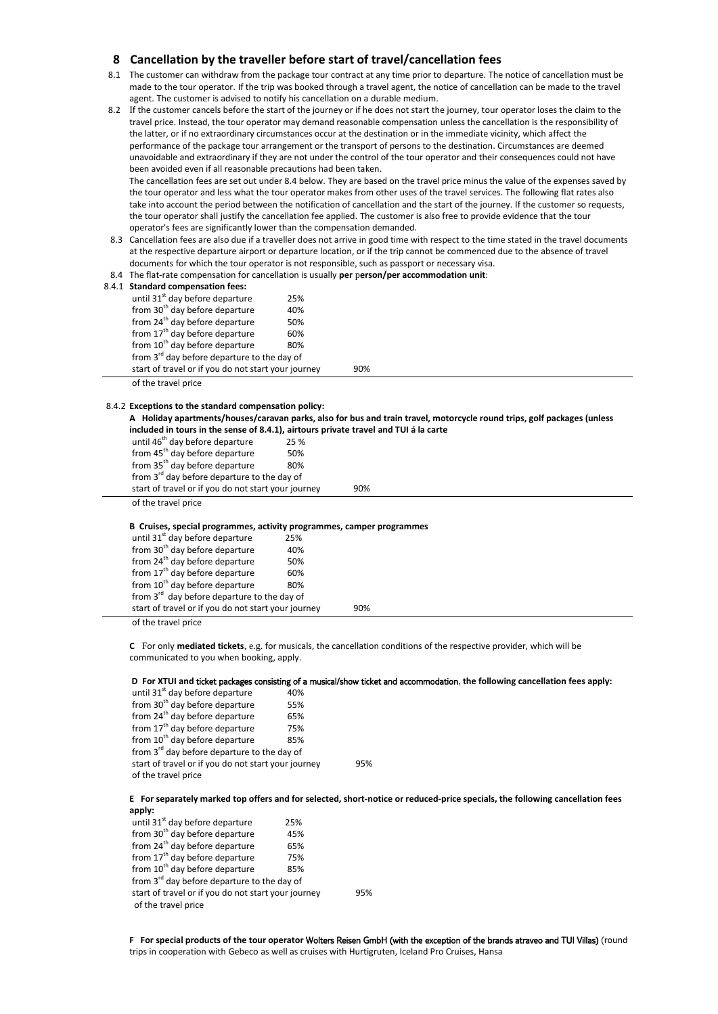# **8 Cancellation by the traveller before start of travel/cancellation fees**

- 8.1 The customer can withdraw from the package tour contract at any time prior to departure. The notice of cancellation must be made to the tour operator. If the trip was booked through a travel agent, the notice of cancellation can be made to the travel agent. The customer is advised to notify his cancellation on a durable medium.
- 8.2 If the customer cancels before the start of the journey or if he does not start the journey, tour operator loses the claim to the travel price. Instead, the tour operator may demand reasonable compensation unless the cancellation is the responsibility of the latter, or if no extraordinary circumstances occur at the destination or in the immediate vicinity, which affect the performance of the package tour arrangement or the transport of persons to the destination. Circumstances are deemed unavoidable and extraordinary if they are not under the control of the tour operator and their consequences could not have been avoided even if all reasonable precautions had been taken.

The cancellation fees are set out under 8.4 below. They are based on the travel price minus the value of the expenses saved by the tour operator and less what the tour operator makes from other uses of the travel services. The following flat rates also take into account the period between the notification of cancellation and the start of the journey. If the customer so requests, the tour operator shall justify the cancellation fee applied. The customer is also free to provide evidence that the tour operator's fees are significantly lower than the compensation demanded.

- 8.3 Cancellation fees are also due if a traveller does not arrive in good time with respect to the time stated in the travel documents at the respective departure airport or departure location, or if the trip cannot be commenced due to the absence of travel documents for which the tour operator is not responsible, such as passport or necessary visa.
- 8.4 The flat-rate compensation for cancellation is usually **per** p**erson/per accommodation unit**:

|  | 8.4.1 Standard compensation fees:                                                                              |     |     |  |  |
|--|----------------------------------------------------------------------------------------------------------------|-----|-----|--|--|
|  | until 31 <sup>st</sup> day before departure                                                                    | 25% |     |  |  |
|  | from 30 <sup>th</sup> day before departure                                                                     | 40% |     |  |  |
|  | from 24 <sup>th</sup> day before departure                                                                     | 50% |     |  |  |
|  | from 17 <sup>th</sup> day before departure                                                                     | 60% |     |  |  |
|  | from 10 <sup>th</sup> day before departure                                                                     | 80% |     |  |  |
|  | from 3 <sup>rd</sup> day before departure to the day of<br>start of travel or if you do not start your journey |     |     |  |  |
|  |                                                                                                                |     | 90% |  |  |
|  | a final contract and a state.                                                                                  |     |     |  |  |

of the travel price

# 8.4.2 **Exceptions to the standard compensation policy:**

**A Holiday apartments/houses/caravan parks, also for bus and train travel, motorcycle round trips, golf packages (unless included in tours in the sense of 8.4.1), airtours private travel and TUI á la carte**

| until 46 <sup>th</sup> day before departure                           | 25 % |     |  |  |  |  |
|-----------------------------------------------------------------------|------|-----|--|--|--|--|
| from 45 <sup>th</sup> day before departure                            | 50%  |     |  |  |  |  |
| from 35 <sup>th</sup> day before departure                            | 80%  |     |  |  |  |  |
| from 3 <sup>rd</sup> day before departure to the day of               |      |     |  |  |  |  |
| start of travel or if you do not start your journey                   |      | 90% |  |  |  |  |
| of the travel price                                                   |      |     |  |  |  |  |
|                                                                       |      |     |  |  |  |  |
| B Cruises, special programmes, activity programmes, camper programmes |      |     |  |  |  |  |

| B Cruises, special programmes, activity programmes, camper programmes |     |  |  |  |  |  |  |
|-----------------------------------------------------------------------|-----|--|--|--|--|--|--|
| until 31 <sup>st</sup> day before departure                           | 25% |  |  |  |  |  |  |
| from 30 <sup>th</sup> day before departure                            | 40% |  |  |  |  |  |  |
| from 24 <sup>th</sup> day before departure                            | 50% |  |  |  |  |  |  |
| from 17 <sup>th</sup> day before departure                            | 60% |  |  |  |  |  |  |
| from 10 <sup>th</sup> day before departure                            | 80% |  |  |  |  |  |  |
| from 3 <sup>rd</sup> day before departure to the day of               |     |  |  |  |  |  |  |
| start of travel or if you do not start your journey                   | 90% |  |  |  |  |  |  |
|                                                                       |     |  |  |  |  |  |  |

of the travel price

**C** For only **mediated tickets**, e.g. for musicals, the cancellation conditions of the respective provider, which will be communicated to you when booking, apply.

#### **D For XTUI and** ticket packages consisting of a musical/show ticket and accommodation, **the following cancellation fees apply:**

until  $31<sup>st</sup>$  day before departure  $40%$  $\frac{1}{2}$  from 30<sup>th</sup> day before departure 55% from  $24<sup>th</sup>$  day before departure 65% from  $17<sup>th</sup>$  day before departure 75% from  $10^{th}$  day before departure  $85%$ from 3<sup>rd</sup> day before departure to the day of start of travel or if you do not start your journey 95% of the travel price

**E For separately marked top offers and for selected, short-notice or reduced-price specials, the following cancellation fees apply:**

until  $31<sup>st</sup>$  day before departure 25%<br>from  $30<sup>th</sup>$  day before departure 45% from  $30<sup>th</sup>$  day before departure from 24<sup>th</sup> day before departure 65% from  $17^{th}$  day before departure  $75%$  $from 10<sup>th</sup>$  day before departure  $85%$ from 3<sup>rd</sup> day before departure to the day of start of travel or if you do not start your journey 95% of the travel price

**F For special products of the tour operator** Wolters Reisen GmbH (with the exception of the brands atraveo and TUI Villas) (round trips in cooperation with Gebeco as well as cruises with Hurtigruten, Iceland Pro Cruises, Hansa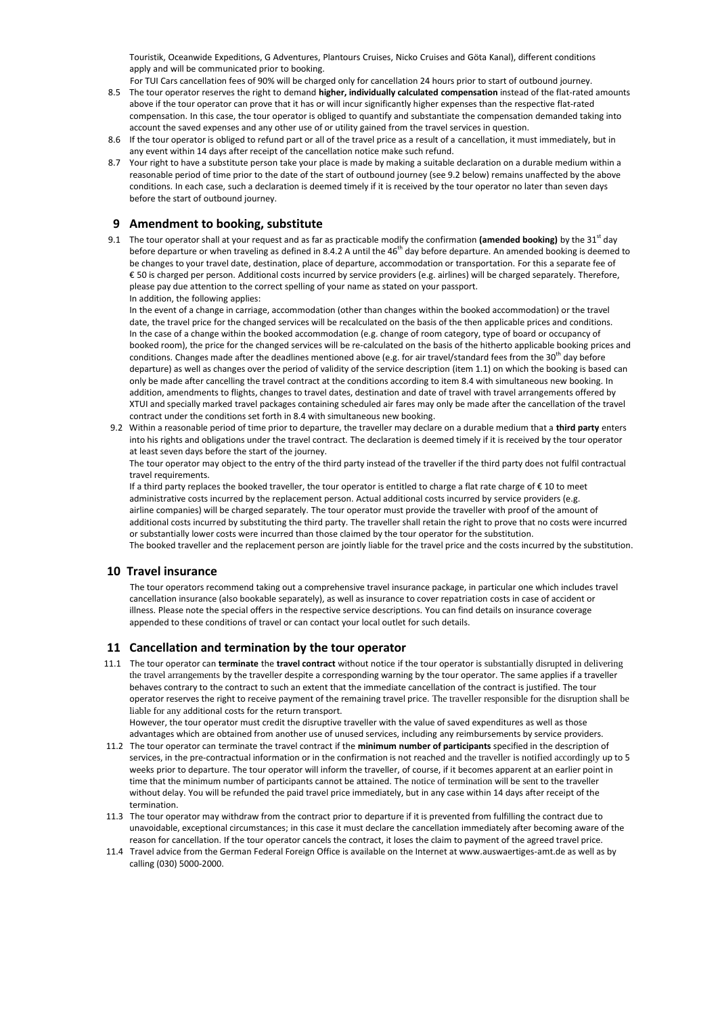Touristik, Oceanwide Expeditions, G Adventures, Plantours Cruises, Nicko Cruises and Göta Kanal), different conditions apply and will be communicated prior to booking.

- For TUI Cars cancellation fees of 90% will be charged only for cancellation 24 hours prior to start of outbound journey. 8.5 The tour operator reserves the right to demand **higher, individually calculated compensation** instead of the flat-rated amounts above if the tour operator can prove that it has or will incur significantly higher expenses than the respective flat-rated compensation. In this case, the tour operator is obliged to quantify and substantiate the compensation demanded taking into account the saved expenses and any other use of or utility gained from the travel services in question.
- 8.6 If the tour operator is obliged to refund part or all of the travel price as a result of a cancellation, it must immediately, but in any event within 14 days after receipt of the cancellation notice make such refund.
- 8.7 Your right to have a substitute person take your place is made by making a suitable declaration on a durable medium within a reasonable period of time prior to the date of the start of outbound journey (see 9.2 below) remains unaffected by the above conditions. In each case, such a declaration is deemed timely if it is received by the tour operator no later than seven days before the start of outbound journey.

# **9 Amendment to booking, substitute**

9.1 The tour operator shall at your request and as far as practicable modify the confirmation (amended booking) by the 31<sup>st</sup> day before departure or when traveling as defined in 8.4.2 A until the 46<sup>th</sup> day before departure. An amended booking is deemed to be changes to your travel date, destination, place of departure, accommodation or transportation. For this a separate fee of € 50 is charged per person. Additional costs incurred by service providers (e.g. airlines) will be charged separately. Therefore, please pay due attention to the correct spelling of your name as stated on your passport. In addition, the following applies:

In the event of a change in carriage, accommodation (other than changes within the booked accommodation) or the travel date, the travel price for the changed services will be recalculated on the basis of the then applicable prices and conditions. In the case of a change within the booked accommodation (e.g. change of room category, type of board or occupancy of booked room), the price for the changed services will be re-calculated on the basis of the hitherto applicable booking prices and conditions. Changes made after the deadlines mentioned above (e.g. for air travel/standard fees from the 30<sup>th</sup> day before departure) as well as changes over the period of validity of the service description (item 1.1) on which the booking is based can only be made after cancelling the travel contract at the conditions according to item 8.4 with simultaneous new booking. In addition, amendments to flights, changes to travel dates, destination and date of travel with travel arrangements offered by XTUI and specially marked travel packages containing scheduled air fares may only be made after the cancellation of the travel contract under the conditions set forth in 8.4 with simultaneous new booking.

9.2 Within a reasonable period of time prior to departure, the traveller may declare on a durable medium that a **third party** enters into his rights and obligations under the travel contract. The declaration is deemed timely if it is received by the tour operator at least seven days before the start of the journey.

The tour operator may object to the entry of the third party instead of the traveller if the third party does not fulfil contractual travel requirements.

If a third party replaces the booked traveller, the tour operator is entitled to charge a flat rate charge of  $\epsilon$  10 to meet administrative costs incurred by the replacement person. Actual additional costs incurred by service providers (e.g. airline companies) will be charged separately. The tour operator must provide the traveller with proof of the amount of additional costs incurred by substituting the third party. The traveller shall retain the right to prove that no costs were incurred or substantially lower costs were incurred than those claimed by the tour operator for the substitution. The booked traveller and the replacement person are jointly liable for the travel price and the costs incurred by the substitution.

# **10 Travel insurance**

The tour operators recommend taking out a comprehensive travel insurance package, in particular one which includes travel cancellation insurance (also bookable separately), as well as insurance to cover repatriation costs in case of accident or illness. Please note the special offers in the respective service descriptions. You can find details on insurance coverage appended to these conditions of travel or can contact your local outlet for such details.

# **11 Cancellation and termination by the tour operator**

11.1 The tour operator can **terminate** the **travel contract** without notice if the tour operator is substantially disrupted in delivering the travel arrangements by the traveller despite a corresponding warning by the tour operator. The same applies if a traveller behaves contrary to the contract to such an extent that the immediate cancellation of the contract is justified. The tour operator reserves the right to receive payment of the remaining travel price. The traveller responsible for the disruption shall be liable for any additional costs for the return transport.

However, the tour operator must credit the disruptive traveller with the value of saved expenditures as well as those advantages which are obtained from another use of unused services, including any reimbursements by service providers.

- 11.2 The tour operator can terminate the travel contract if the **minimum number of participants** specified in the description of services, in the pre-contractual information or in the confirmation is not reached and the traveller is notified accordingly up to 5 weeks prior to departure. The tour operator will inform the traveller, of course, if it becomes apparent at an earlier point in time that the minimum number of participants cannot be attained. The notice of termination will be sent to the traveller without delay. You will be refunded the paid travel price immediately, but in any case within 14 days after receipt of the termination.
- 11.3 The tour operator may withdraw from the contract prior to departure if it is prevented from fulfilling the contract due to unavoidable, exceptional circumstances; in this case it must declare the cancellation immediately after becoming aware of the reason for cancellation. If the tour operator cancels the contract, it loses the claim to payment of the agreed travel price.
- 11.4 Travel advice from the German Federal Foreign Office is available on the Internet at www.auswaertiges-amt.de as well as by calling (030) 5000-2000.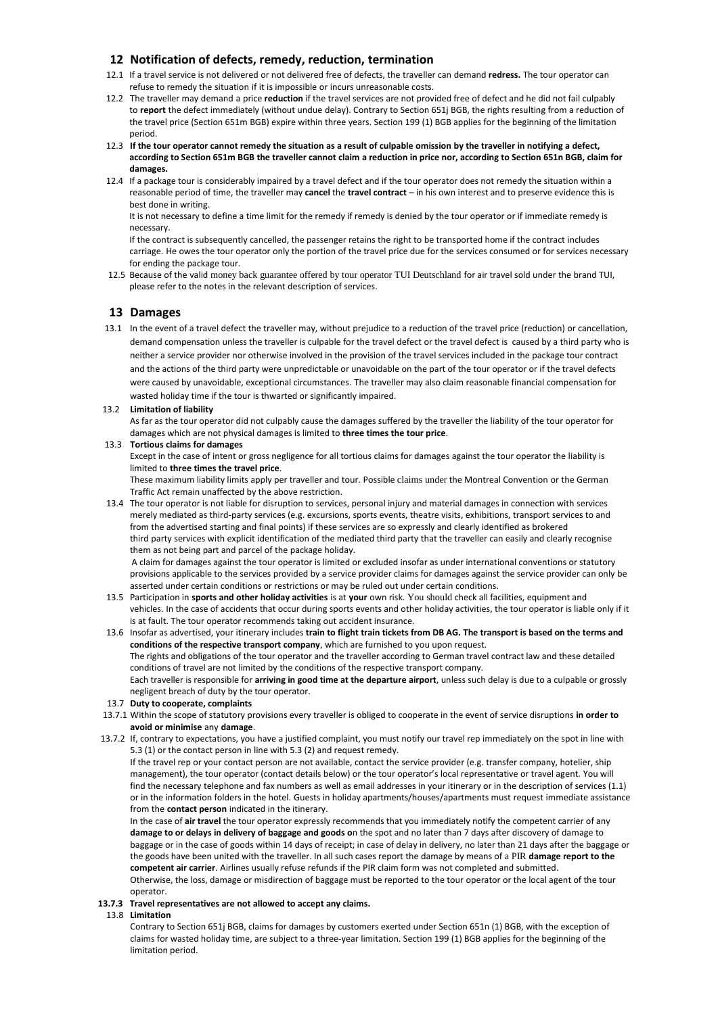# **12 Notification of defects, remedy, reduction, termination**

- 12.1 If a travel service is not delivered or not delivered free of defects, the traveller can demand **redress.** The tour operator can refuse to remedy the situation if it is impossible or incurs unreasonable costs.
- 12.2 The traveller may demand a price **reduction** if the travel services are not provided free of defect and he did not fail culpably to **report** the defect immediately (without undue delay). Contrary to Section 651j BGB, the rights resulting from a reduction of the travel price (Section 651m BGB) expire within three years. Section 199 (1) BGB applies for the beginning of the limitation period.
- 12.3 **If the tour operator cannot remedy the situation as a result of culpable omission by the traveller in notifying a defect, according to Section 651m BGB the traveller cannot claim a reduction in price nor, according to Section 651n BGB, claim for damages.**
- 12.4 If a package tour is considerably impaired by a travel defect and if the tour operator does not remedy the situation within a reasonable period of time, the traveller may **cancel** the **travel contract** – in his own interest and to preserve evidence this is best done in writing.

It is not necessary to define a time limit for the remedy if remedy is denied by the tour operator or if immediate remedy is necessary.

If the contract is subsequently cancelled, the passenger retains the right to be transported home if the contract includes carriage. He owes the tour operator only the portion of the travel price due for the services consumed or for services necessary for ending the package tour.

12.5 Because of the valid money back guarantee offered by tour operator TUI Deutschland for air travel sold under the brand TUI, please refer to the notes in the relevant description of services.

# **13 Damages**

 13.1 In the event of a travel defect the traveller may, without prejudice to a reduction of the travel price (reduction) or cancellation, demand compensation unless the traveller is culpable for the travel defect or the travel defect is caused by a third party who is neither a service provider nor otherwise involved in the provision of the travel services included in the package tour contract and the actions of the third party were unpredictable or unavoidable on the part of the tour operator or if the travel defects were caused by unavoidable, exceptional circumstances. The traveller may also claim reasonable financial compensation for wasted holiday time if the tour is thwarted or significantly impaired.

### 13.2 **Limitation of liability**

As far as the tour operator did not culpably cause the damages suffered by the traveller the liability of the tour operator for damages which are not physical damages is limited to **three times the tour price**.

### 13.3 **Tortious claims for damages**

Except in the case of intent or gross negligence for all tortious claims for damages against the tour operator the liability is limited to **three times the travel price**.

These maximum liability limits apply per traveller and tour. Possible claims under the Montreal Convention or the German Traffic Act remain unaffected by the above restriction.

13.4 The tour operator is not liable for disruption to services, personal injury and material damages in connection with services merely mediated as third-party services (e.g. excursions, sports events, theatre visits, exhibitions, transport services to and from the advertised starting and final points) if these services are so expressly and clearly identified as brokered third party services with explicit identification of the mediated third party that the traveller can easily and clearly recognise them as not being part and parcel of the package holiday. A claim for damages against the tour operator is limited or excluded insofar as under international conventions or statutory

provisions applicable to the services provided by a service provider claims for damages against the service provider can only be asserted under certain conditions or restrictions or may be ruled out under certain conditions.

- 13.5 Participation in **sports and other holiday activities** is at **your** own risk. You should check all facilities, equipment and vehicles. In the case of accidents that occur during sports events and other holiday activities, the tour operator is liable only if it is at fault. The tour operator recommends taking out accident insurance.
- 13.6 Insofar as advertised, your itinerary includes **train to flight train tickets from DB AG. The transport is based on the terms and conditions of the respective transport company**, which are furnished to you upon request. The rights and obligations of the tour operator and the traveller according to German travel contract law and these detailed conditions of travel are not limited by the conditions of the respective transport company. Each traveller is responsible for **arriving in good time at the departure airport**, unless such delay is due to a culpable or grossly negligent breach of duty by the tour operator.
- 13.7 **Duty to cooperate, complaints**
- 13.7.1 Within the scope of statutory provisions every traveller is obliged to cooperate in the event of service disruptions **in order to avoid or minimise** any **damage**.
- 13.7.2 If, contrary to expectations, you have a justified complaint, you must notify our travel rep immediately on the spot in line with 5.3 (1) or the contact person in line with 5.3 (2) and request remedy.

If the travel rep or your contact person are not available, contact the service provider (e.g. transfer company, hotelier, ship management), the tour operator (contact details below) or the tour operator's local representative or travel agent. You will find the necessary telephone and fax numbers as well as email addresses in your itinerary or in the description of services (1.1) or in the information folders in the hotel. Guests in holiday apartments/houses/apartments must request immediate assistance from the **contact person** indicated in the itinerary.

In the case of **air travel** the tour operator expressly recommends that you immediately notify the competent carrier of any **damage to or delays in delivery of baggage and goods o**n the spot and no later than 7 days after discovery of damage to baggage or in the case of goods within 14 days of receipt; in case of delay in delivery, no later than 21 days after the baggage or the goods have been united with the traveller. In all such cases report the damage by means of a PIR **damage report to the competent air carrier**. Airlines usually refuse refunds if the PIR claim form was not completed and submitted. Otherwise, the loss, damage or misdirection of baggage must be reported to the tour operator or the local agent of the tour operator.

### **13.7.3 Travel representatives are not allowed to accept any claims.**

#### 13.8 **Limitation**

Contrary to Section 651j BGB, claims for damages by customers exerted under Section 651n (1) BGB, with the exception of claims for wasted holiday time, are subject to a three-year limitation. Section 199 (1) BGB applies for the beginning of the limitation period.